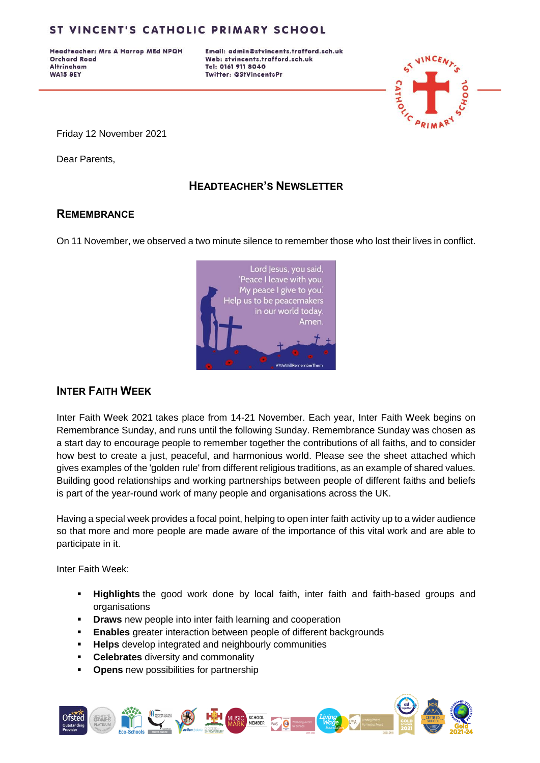Headteacher: Mrs A Harrop MEd NPQH **Orchard Road Altrincham WA15 8EY** 

Email: admin@stvincents.trafford.sch.uk Web: stvincents.trafford.sch.uk Tel: 0161 911 8040 Twitter: @StVincentsPr



Friday 12 November 2021

Dear Parents,

## **HEADTEACHER'S NEWSLETTER**

### **REMEMBRANCE**

On 11 November, we observed a two minute silence to remember those who lost their lives in conflict.



## **INTER FAITH WEEK**

Inter Faith Week 2021 takes place from 14-21 November. Each year, Inter Faith Week begins on Remembrance Sunday, and runs until the following Sunday. Remembrance Sunday was chosen as a start day to encourage people to remember together the contributions of all faiths, and to consider how best to create a just, peaceful, and harmonious world. Please see the sheet attached which gives examples of the 'golden rule' from different religious traditions, as an example of shared values. Building good relationships and working partnerships between people of different faiths and beliefs is part of the year-round work of many people and organisations across the UK.

Having a special week provides a focal point, helping to open inter faith activity up to a wider audience so that more and more people are made aware of the importance of this vital work and are able to participate in it.

Inter Faith Week:

- **Highlights** the good work done by local faith, inter faith and faith-based groups and organisations
- **Draws** new people into inter faith learning and cooperation
- **Enables** greater interaction between people of different backgrounds
- **Helps** develop integrated and neighbourly communities
- **Celebrates** diversity and commonality
- **Opens** new possibilities for partnership

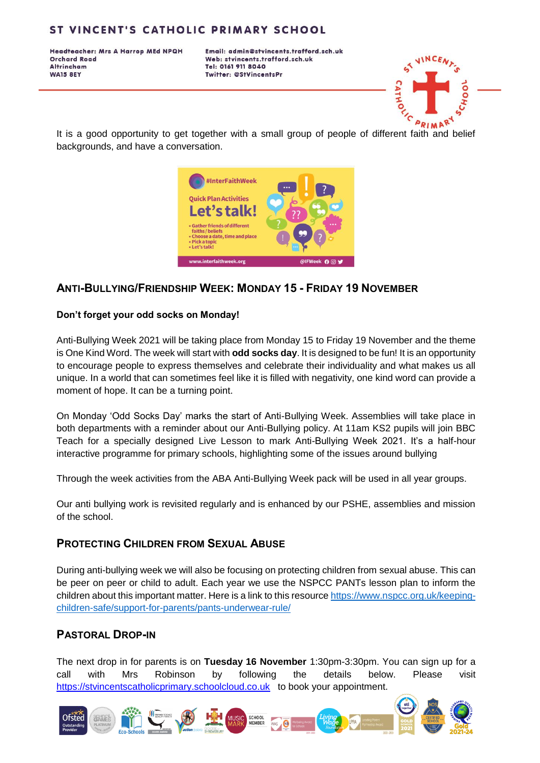Headteacher: Mrs A Harrop MEd NPQH **Orchard Road Altrincham WA15 8EY** 

Email: admin@stvincents.trafford.sch.uk Web: stvincents.trafford.sch.uk Tel: 0161 911 8040 Twitter: @StVincentsPr



It is a good opportunity to get together with a small group of people of different faith and belief backgrounds, and have a conversation.



## **ANTI-BULLYING/FRIENDSHIP WEEK: MONDAY 15 - FRIDAY 19 NOVEMBER**

#### **Don't forget your odd socks on Monday!**

Anti-Bullying Week 2021 will be taking place from Monday 15 to Friday 19 November and the theme is One Kind Word. The week will start with **odd socks day**. It is designed to be fun! It is an opportunity to encourage people to express themselves and celebrate their individuality and what makes us all unique. In a world that can sometimes feel like it is filled with negativity, one kind word can provide a moment of hope. It can be a turning point.

On Monday 'Odd Socks Day' marks the start of Anti-Bullying Week. Assemblies will take place in both departments with a reminder about our Anti-Bullying policy. At 11am KS2 pupils will join BBC Teach for a specially designed Live Lesson to mark Anti-Bullying Week 2021. It's a half-hour interactive programme for primary schools, highlighting some of the issues around bullying

Through the week activities from the ABA Anti-Bullying Week pack will be used in all year groups.

Our anti bullying work is revisited regularly and is enhanced by our PSHE, assemblies and mission of the school.

### **PROTECTING CHILDREN FROM SEXUAL ABUSE**

During anti-bullying week we will also be focusing on protecting children from sexual abuse. This can be peer on peer or child to adult. Each year we use the NSPCC PANTs lesson plan to inform the children about this important matter. Here is a link to this resourc[e https://www.nspcc.org.uk/keeping](https://www.nspcc.org.uk/keeping-children-safe/support-for-parents/pants-underwear-rule/)[children-safe/support-for-parents/pants-underwear-rule/](https://www.nspcc.org.uk/keeping-children-safe/support-for-parents/pants-underwear-rule/)

### **PASTORAL DROP-IN**

The next drop in for parents is on **Tuesday 16 November** 1:30pm-3:30pm. You can sign up for a call with Mrs Robinson by following the details below. Please visit [https://stvincentscatholicprimary.schoolcloud.co.uk](https://stvincentscatholicprimary.schoolcloud.co.uk/) to book your appointment.

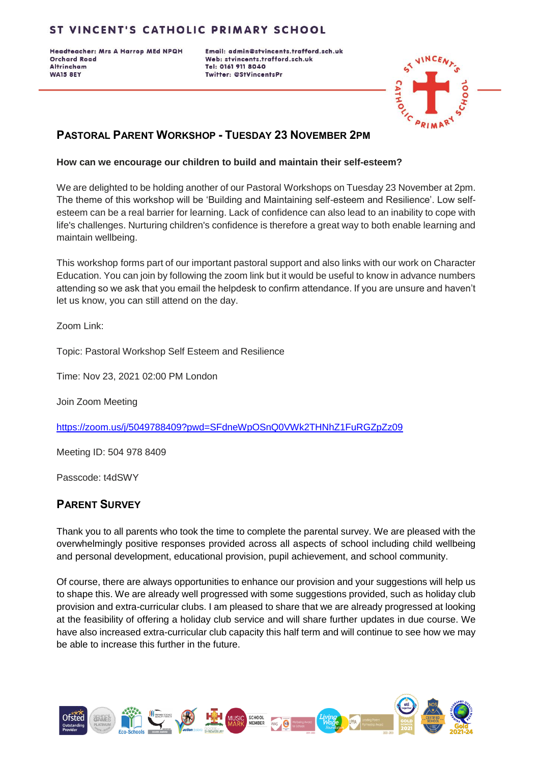Headteacher: Mrs A Harrop MEd NPQH **Orchard Road Altrincham WA15 8EY** 

Email: admin@stvincents.trafford.sch.uk Web: stvincents.trafford.sch.uk Tel: 0161 911 8040 Twitter: @StVincentsPr



# **PASTORAL PARENT WORKSHOP - TUESDAY 23 NOVEMBER 2PM**

### **How can we encourage our children to build and maintain their self-esteem?**

We are delighted to be holding another of our Pastoral Workshops on Tuesday 23 November at 2pm. The theme of this workshop will be 'Building and Maintaining self-esteem and Resilience'. Low selfesteem can be a real barrier for learning. Lack of confidence can also lead to an inability to cope with life's challenges. Nurturing children's confidence is therefore a great way to both enable learning and maintain wellbeing.

This workshop forms part of our important pastoral support and also links with our work on Character Education. You can join by following the zoom link but it would be useful to know in advance numbers attending so we ask that you email the helpdesk to confirm attendance. If you are unsure and haven't let us know, you can still attend on the day.

Zoom Link:

Topic: Pastoral Workshop Self Esteem and Resilience

Time: Nov 23, 2021 02:00 PM London

Join Zoom Meeting

<https://zoom.us/j/5049788409?pwd=SFdneWpOSnQ0VWk2THNhZ1FuRGZpZz09>

Meeting ID: 504 978 8409

Passcode: t4dSWY

## **PARENT SURVEY**

Thank you to all parents who took the time to complete the parental survey. We are pleased with the overwhelmingly positive responses provided across all aspects of school including child wellbeing and personal development, educational provision, pupil achievement, and school community.

Of course, there are always opportunities to enhance our provision and your suggestions will help us to shape this. We are already well progressed with some suggestions provided, such as holiday club provision and extra-curricular clubs. I am pleased to share that we are already progressed at looking at the feasibility of offering a holiday club service and will share further updates in due course. We have also increased extra-curricular club capacity this half term and will continue to see how we may be able to increase this further in the future.

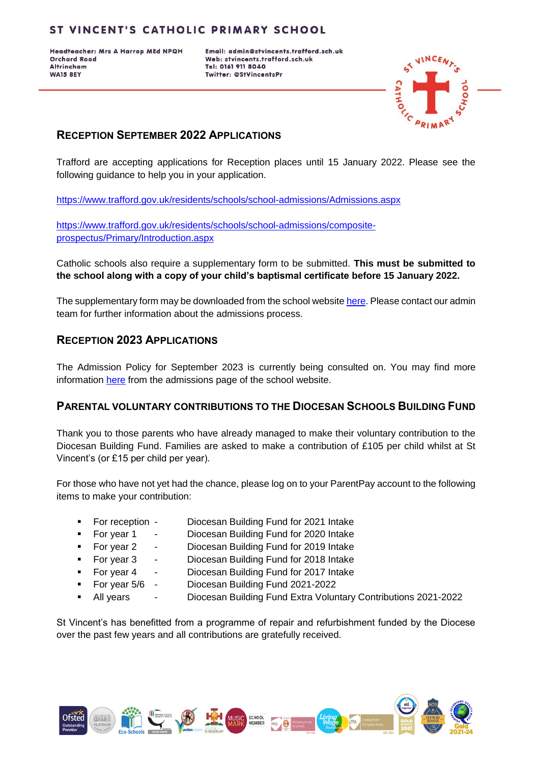Headteacher: Mrs A Harrop MEd NPQH **Orchard Road Altrincham WA15 8EY** 

Email: admin@stvincents.trafford.sch.uk Web: stvincents.trafford.sch.uk Tel: 0161 911 8040 Twitter: @StVincentsPr

![](_page_3_Picture_3.jpeg)

# **RECEPTION SEPTEMBER 2022 APPLICATIONS**

Trafford are accepting applications for Reception places until 15 January 2022. Please see the following guidance to help you in your application.

<https://www.trafford.gov.uk/residents/schools/school-admissions/Admissions.aspx>

[https://www.trafford.gov.uk/residents/schools/school-admissions/composite](https://www.trafford.gov.uk/residents/schools/school-admissions/composite-prospectus/Primary/Introduction.aspx)[prospectus/Primary/Introduction.aspx](https://www.trafford.gov.uk/residents/schools/school-admissions/composite-prospectus/Primary/Introduction.aspx)

Catholic schools also require a supplementary form to be submitted. **This must be submitted to the school along with a copy of your child's baptismal certificate before 15 January 2022.**

The supplementary form may be downloaded from the school website [here.](http://stvincents.trafford.sch.uk/uploads/120/files/ADM_Supplementary_Application_Form.pdf) Please contact our admin team for further information about the admissions process.

## **RECEPTION 2023 APPLICATIONS**

The Admission Policy for September 2023 is currently being consulted on. You may find more information [here](http://stvincents.trafford.sch.uk/uploads/120/files/Under_consultation_AD_R2334_PLCY_2023_24_Admissionpolicy.pdf) from the admissions page of the school website.

## **PARENTAL VOLUNTARY CONTRIBUTIONS TO THE DIOCESAN SCHOOLS BUILDING FUND**

Thank you to those parents who have already managed to make their voluntary contribution to the Diocesan Building Fund. Families are asked to make a contribution of £105 per child whilst at St Vincent's (or £15 per child per year).

For those who have not yet had the chance, please log on to your ParentPay account to the following items to make your contribution:

- For reception Diocesan Building Fund for 2021 Intake
	- For year 1 Diocesan Building Fund for 2020 Intake
	- For year 2 Diocesan Building Fund for 2019 Intake
- - For year 3 Diocesan Building Fund for 2018 Intake For year 4 - Diocesan Building Fund for 2017 Intake
- 
- For year 5/6 Diocesan Building Fund 2021-2022
- All years Diocesan Building Fund Extra Voluntary Contributions 2021-2022

St Vincent's has benefitted from a programme of repair and refurbishment funded by the Diocese over the past few years and all contributions are gratefully received.

![](_page_3_Picture_24.jpeg)

![](_page_3_Picture_25.jpeg)

![](_page_3_Picture_26.jpeg)

![](_page_3_Picture_27.jpeg)